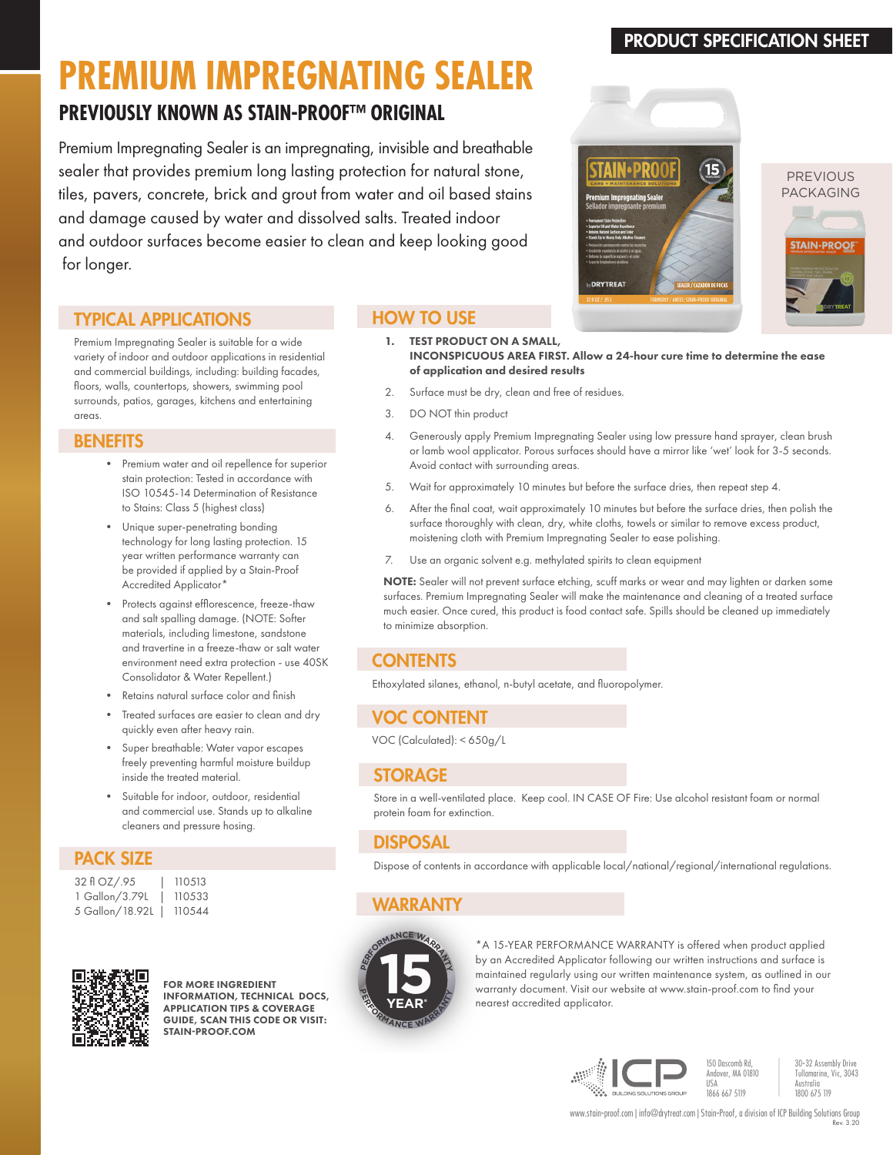## PRODUCT SPECIFICATION SHEET

**STAIN-PROOF** 

# **PREMIUM IMPREGNATING SEALER**

# **PREVIOUSLY KNOWN AS STAIN-PROOF™ ORIGINAL**

Premium Impregnating Sealer is an impregnating, invisible and breathable sealer that provides premium long lasting protection for natural stone, tiles, pavers, concrete, brick and grout from water and oil based stains and damage caused by water and dissolved salts. Treated indoor and outdoor surfaces become easier to clean and keep looking good for longer.

## TYPICAL APPLICATIONS

Premium Impregnating Sealer is suitable for a wide variety of indoor and outdoor applications in residential and commercial buildings, including: building facades, floors, walls, countertops, showers, swimming pool surrounds, patios, garages, kitchens and entertaining areas.

### **BENEFITS**

- Premium water and oil repellence for superior stain protection: Tested in accordance with ISO 10545-14 Determination of Resistance to Stains: Class 5 (highest class)
- Unique super-penetrating bonding technology for long lasting protection. 15 year written performance warranty can be provided if applied by a Stain-Proof Accredited Applicator\*
- Protects against efflorescence, freeze-thaw and salt spalling damage. (NOTE: Softer materials, including limestone, sandstone and travertine in a freeze-thaw or salt water environment need extra protection - use 40SK Consolidator & Water Repellent.)
- Retains natural surface color and finish
- Treated surfaces are easier to clean and dry quickly even after heavy rain.
- Super breathable: Water vapor escapes freely preventing harmful moisture buildup inside the treated material.
- Suitable for indoor, outdoor, residential and commercial use. Stands up to alkaline cleaners and pressure hosing.

## PACK SIZE

| 32 fl OZ/.95    | 1 |
|-----------------|---|
| 1 Gallon/3.79L  | 1 |
| 5 Gallon/18.92L | 1 |





FOR MORE INGREDIENT INFORMATION, TECHNICAL DOCS, APPLICATION TIPS & COVERAGE GUIDE, SCAN THIS CODE OR VISIT: STAIN-PROOF COM

## HOW TO USE



- 2. Surface must be dry, clean and free of residues.
- 3. DO NOT thin product
- 4. Generously apply Premium Impregnating Sealer using low pressure hand sprayer, clean brush or lamb wool applicator. Porous surfaces should have a mirror like 'wet' look for 3-5 seconds. Avoid contact with surrounding areas.
- 5. Wait for approximately 10 minutes but before the surface dries, then repeat step 4.
- 6. After the final coat, wait approximately 10 minutes but before the surface dries, then polish the surface thoroughly with clean, dry, white cloths, towels or similar to remove excess product, moistening cloth with Premium Impregnating Sealer to ease polishing.
- 7. Use an organic solvent e.g. methylated spirits to clean equipment

NOTE: Sealer will not prevent surface etching, scuff marks or wear and may lighten or darken some surfaces. Premium Impregnating Sealer will make the maintenance and cleaning of a treated surface much easier. Once cured, this product is food contact safe. Spills should be cleaned up immediately to minimize absorption.

## **CONTENTS**

Ethoxylated silanes, ethanol, n-butyl acetate, and fluoropolymer.

## VOC CONTENT

VOC (Calculated): < 650g/L

## STORAGE

Store in a well-ventilated place. Keep cool. IN CASE OF Fire: Use alcohol resistant foam or normal protein foam for extinction.

## DISPOSAL

Dispose of contents in accordance with applicable local/national/regional/international regulations.

## WARRANTY



\*A 15-YEAR PERFORMANCE WARRANTY is offered when product applied by an Accredited Applicator following our written instructions and surface is maintained regularly using our written maintenance system, as outlined in our warranty document. Visit our website at www.stain-proof.com to find your nearest accredited applicator.



30-32 Assembly Drive Tullamarine, Vic, 3043 Australia 1800 675 119

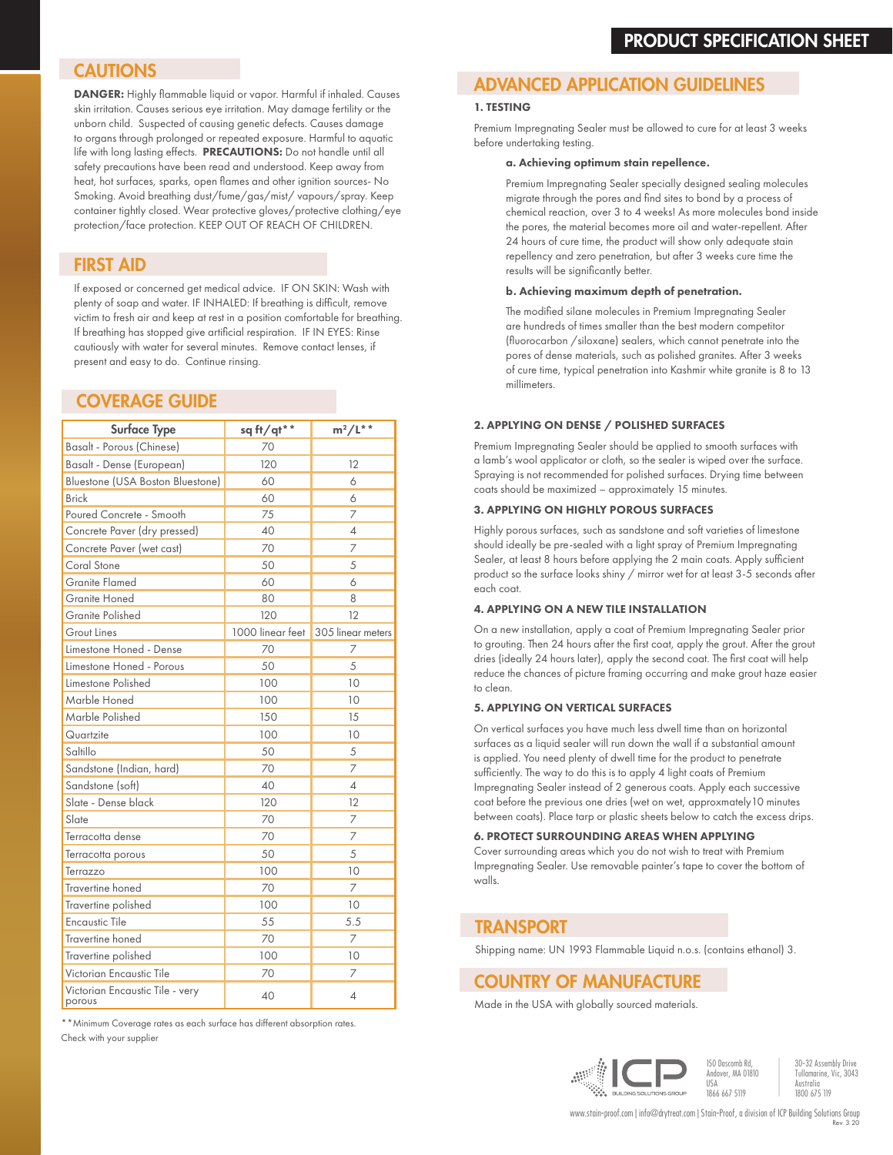## **CAUTIONS**

DANGER: Highly flammable liquid or vapor. Harmful if inhaled. Causes skin irritation. Causes serious eye irritation. May damage fertility or the unborn child. Suspected of causing genetic defects. Causes damage to organs through prolonged or repeated exposure. Harmful to aquatic life with long lasting effects. PRECAUTIONS: Do not handle until all safety precautions have been read and understood. Keep away from heat, hot surfaces, sparks, open flames and other ignition sources- No Smoking. Avoid breathing dust/fume/gas/mist/ vapours/spray. Keep container tightly closed. Wear protective gloves/protective clothing/eye protection/face protection. KEEP OUT OF REACH OF CHILDREN.

## FIRST AID

If exposed or concerned get medical advice. IF ON SKIN: Wash with plenty of soap and water. IF INHALED: If breathing is difficult, remove victim to fresh air and keep at rest in a position comfortable for breathing. If breathing has stopped give artificial respiration. IF IN EYES: Rinse cautiously with water for several minutes. Remove contact lenses, if present and easy to do. Continue rinsing.

## COVERAGE GUIDE

| <b>Surface Type</b>                       | sq ft/qt**       | $m^2/L^*$         |
|-------------------------------------------|------------------|-------------------|
| Basalt - Porous (Chinese)                 | 70               |                   |
| Basalt - Dense (European)                 | 120              | 12                |
| Bluestone (USA Boston Bluestone)          | 60               | 6                 |
| <b>Brick</b>                              | 60               | 6                 |
| Poured Concrete - Smooth                  | 75               | 7                 |
| Concrete Paver (dry pressed)              | 40               | 4                 |
| Concrete Paver (wet cast)                 | 70               | $\overline{7}$    |
| Coral Stone                               | 50               | 5                 |
| <b>Granite Flamed</b>                     | 60               | 6                 |
| <b>Granite Honed</b>                      | 80               | 8                 |
| Granite Polished                          | 120              | 12                |
| <b>Grout Lines</b>                        | 1000 linear feet | 305 linear meters |
| Limestone Honed - Dense                   | 70               | 7                 |
| Limestone Honed - Porous                  | 50               | 5                 |
| Limestone Polished                        | 100              | 10                |
| Marble Honed                              | 100              | 10                |
| Marble Polished                           | 150              | 15                |
| Quartzite                                 | 100              | 10                |
| Saltillo                                  | 50               | 5                 |
| Sandstone (Indian, hard)                  | 70               | 7                 |
| Sandstone (soft)                          | 40               | 4                 |
| Slate - Dense black                       | 120              | 12                |
| Slate                                     | 70               | 7                 |
| Terracotta dense                          | 70               | 7                 |
| Terracotta porous                         | 50               | 5                 |
| Terrazzo                                  | 100              | 10                |
| Travertine honed                          | 70               | 7                 |
| Travertine polished                       | 100              | 10                |
| <b>Encaustic Tile</b>                     | 55               | 5.5               |
| Travertine honed                          | 70               | 7                 |
| Travertine polished                       | 100              | 10                |
| Victorian Encaustic Tile                  | 70               | 7                 |
| Victorian Encaustic Tile - very<br>porous | 40               | 4                 |

\*\*Minimum Coverage rates as each surface has different absorption rates. Check with your supplier

## ADVANCED APPLICATION GUIDELINES

#### 1. TESTING

Premium Impregnating Sealer must be allowed to cure for at least 3 weeks before undertaking testing.

#### a. Achieving optimum stain repellence.

Premium Impregnating Sealer specially designed sealing molecules migrate through the pores and find sites to bond by a process of chemical reaction, over 3 to 4 weeks! As more molecules bond inside the pores, the material becomes more oil and water-repellent. After 24 hours of cure time, the product will show only adequate stain repellency and zero penetration, but after 3 weeks cure time the results will be significantly better.

#### b. Achieving maximum depth of penetration.

The modified silane molecules in Premium Impregnating Sealer are hundreds of times smaller than the best modern competitor (fluorocarbon /siloxane) sealers, which cannot penetrate into the pores of dense materials, such as polished granites. After 3 weeks of cure time, typical penetration into Kashmir white granite is 8 to 13 millimeters.

#### 2. APPLYING ON DENSE / POLISHED SURFACES

Premium Impregnating Sealer should be applied to smooth surfaces with a lamb's wool applicator or cloth, so the sealer is wiped over the surface. Spraying is not recommended for polished surfaces. Drying time between coats should be maximized – approximately 15 minutes.

#### 3. APPLYING ON HIGHLY POROUS SURFACES

Highly porous surfaces, such as sandstone and soft varieties of limestone should ideally be pre-sealed with a light spray of Premium Impregnating Sealer, at least 8 hours before applying the 2 main coats. Apply sufficient product so the surface looks shiny / mirror wet for at least 3-5 seconds after each coat.

#### 4. APPLYING ON A NEW TILE INSTALLATION

On a new installation, apply a coat of Premium Impregnating Sealer prior to grouting. Then 24 hours after the first coat, apply the grout. After the grout dries (ideally 24 hours later), apply the second coat. The first coat will help reduce the chances of picture framing occurring and make grout haze easier to clean.

#### 5. APPLYING ON VERTICAL SURFACES

On vertical surfaces you have much less dwell time than on horizontal surfaces as a liquid sealer will run down the wall if a substantial amount is applied. You need plenty of dwell time for the product to penetrate sufficiently. The way to do this is to apply 4 light coats of Premium Impregnating Sealer instead of 2 generous coats. Apply each successive coat before the previous one dries (wet on wet, approxmately10 minutes between coats). Place tarp or plastic sheets below to catch the excess drips.

#### 6. PROTECT SURROUNDING AREAS WHEN APPLYING

Cover surrounding areas which you do not wish to treat with Premium Impregnating Sealer. Use removable painter's tape to cover the bottom of walls.

## **TRANSPORT**

Shipping name: UN 1993 Flammable Liquid n.o.s. (contains ethanol) 3.

## COUNTRY OF MANUFACTURE

Made in the USA with globally sourced materials.



30-32 Assembly Drive Tullamarine, Vic, 3043 Australia 1800 675 119

Rev. 3.20 www.stain-proof.com | info@drytreat.com | Stain-Proof, a division of ICP Building Solutions Group